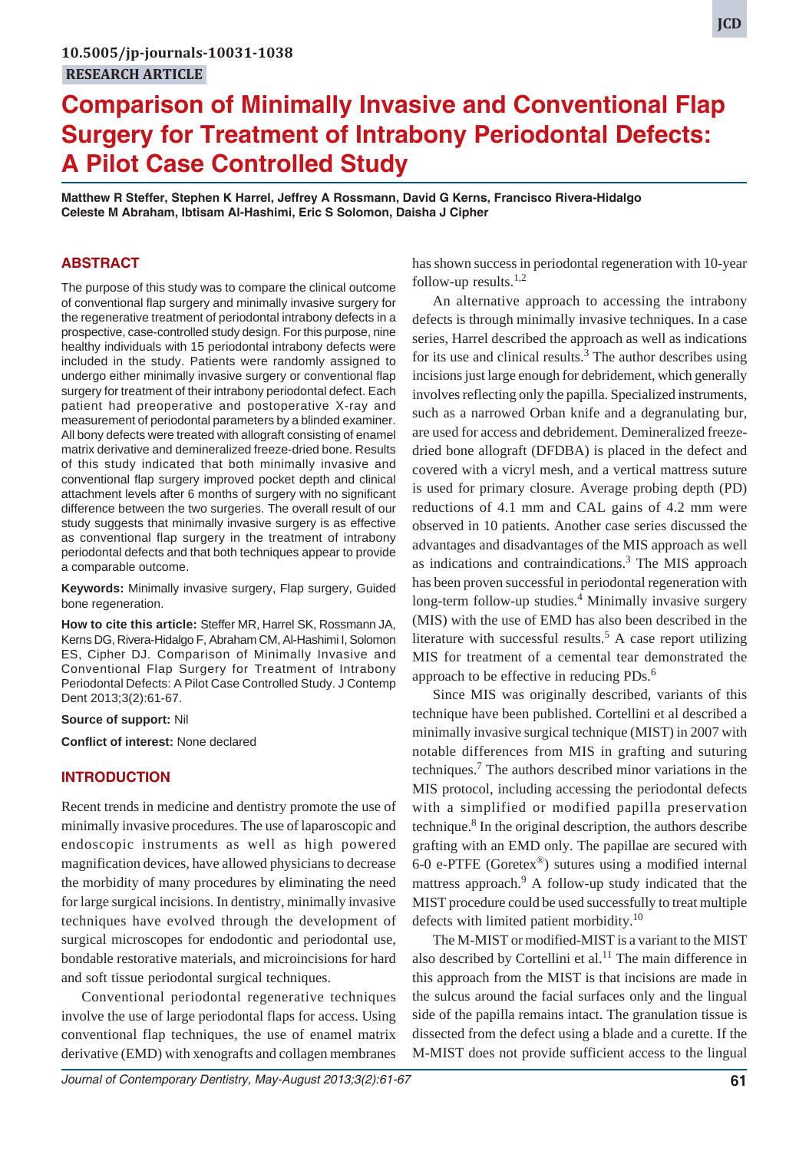# **Comparison of Minimally Invasive and Conventional Flap Surgery for Treatment of Intrabony Periodontal Defects: A Pilot Case Controlled Study**

**Matthew R Steffer, Stephen K Harrel, Jeffrey A Rossmann, David G Kerns, Francisco Rivera-Hidalgo Celeste M Abraham, Ibtisam Al-Hashimi, Eric S Solomon, Daisha J Cipher**

# **ABSTRACT**

The purpose of this study was to compare the clinical outcome of conventional flap surgery and minimally invasive surgery for the regenerative treatment of periodontal intrabony defects in a prospective, case-controlled study design. For this purpose, nine healthy individuals with 15 periodontal intrabony defects were included in the study. Patients were randomly assigned to undergo either minimally invasive surgery or conventional flap surgery for treatment of their intrabony periodontal defect. Each patient had preoperative and postoperative X-ray and measurement of periodontal parameters by a blinded examiner. All bony defects were treated with allograft consisting of enamel matrix derivative and demineralized freeze-dried bone. Results of this study indicated that both minimally invasive and conventional flap surgery improved pocket depth and clinical attachment levels after 6 months of surgery with no significant difference between the two surgeries. The overall result of our study suggests that minimally invasive surgery is as effective as conventional flap surgery in the treatment of intrabony periodontal defects and that both techniques appear to provide a comparable outcome.

**Keywords:** Minimally invasive surgery, Flap surgery, Guided bone regeneration.

**How to cite this article:** Steffer MR, Harrel SK, Rossmann JA, Kerns DG, Rivera-Hidalgo F, Abraham CM, Al-Hashimi I, Solomon ES, Cipher DJ. Comparison of Minimally Invasive and Conventional Flap Surgery for Treatment of Intrabony Periodontal Defects: A Pilot Case Controlled Study. J Contemp Dent 2013;3(2):61-67.

**Source of support:** Nil

**Conflict of interest:** None declared

### **INTRODUCTION**

Recent trends in medicine and dentistry promote the use of minimally invasive procedures. The use of laparoscopic and endoscopic instruments as well as high powered magnification devices, have allowed physicians to decrease the morbidity of many procedures by eliminating the need for large surgical incisions. In dentistry, minimally invasive techniques have evolved through the development of surgical microscopes for endodontic and periodontal use, bondable restorative materials, and microincisions for hard and soft tissue periodontal surgical techniques.

Conventional periodontal regenerative techniques involve the use of large periodontal flaps for access. Using conventional flap techniques, the use of enamel matrix derivative (EMD) with xenografts and collagen membranes has shown success in periodontal regeneration with 10-year follow-up results. $1,2$ 

An alternative approach to accessing the intrabony defects is through minimally invasive techniques. In a case series, Harrel described the approach as well as indications for its use and clinical results. $3$  The author describes using incisions just large enough for debridement, which generally involves reflecting only the papilla. Specialized instruments, such as a narrowed Orban knife and a degranulating bur, are used for access and debridement. Demineralized freezedried bone allograft (DFDBA) is placed in the defect and covered with a vicryl mesh, and a vertical mattress suture is used for primary closure. Average probing depth (PD) reductions of 4.1 mm and CAL gains of 4.2 mm were observed in 10 patients. Another case series discussed the advantages and disadvantages of the MIS approach as well as indications and contraindications.<sup>3</sup> The MIS approach has been proven successful in periodontal regeneration with long-term follow-up studies.<sup>4</sup> Minimally invasive surgery (MIS) with the use of EMD has also been described in the literature with successful results.<sup>5</sup> A case report utilizing MIS for treatment of a cemental tear demonstrated the approach to be effective in reducing PDs.<sup>6</sup>

Since MIS was originally described, variants of this technique have been published. Cortellini et al described a minimally invasive surgical technique (MIST) in 2007 with notable differences from MIS in grafting and suturing techniques.<sup>7</sup> The authors described minor variations in the MIS protocol, including accessing the periodontal defects with a simplified or modified papilla preservation technique.<sup>8</sup> In the original description, the authors describe grafting with an EMD only. The papillae are secured with 6-0 e-PTFE (Goretex®) sutures using a modified internal mattress approach.<sup>9</sup> A follow-up study indicated that the MIST procedure could be used successfully to treat multiple defects with limited patient morbidity.<sup>10</sup>

The M-MIST or modified-MIST is a variant to the MIST also described by Cortellini et al.<sup>11</sup> The main difference in this approach from the MIST is that incisions are made in the sulcus around the facial surfaces only and the lingual side of the papilla remains intact. The granulation tissue is dissected from the defect using a blade and a curette. If the M-MIST does not provide sufficient access to the lingual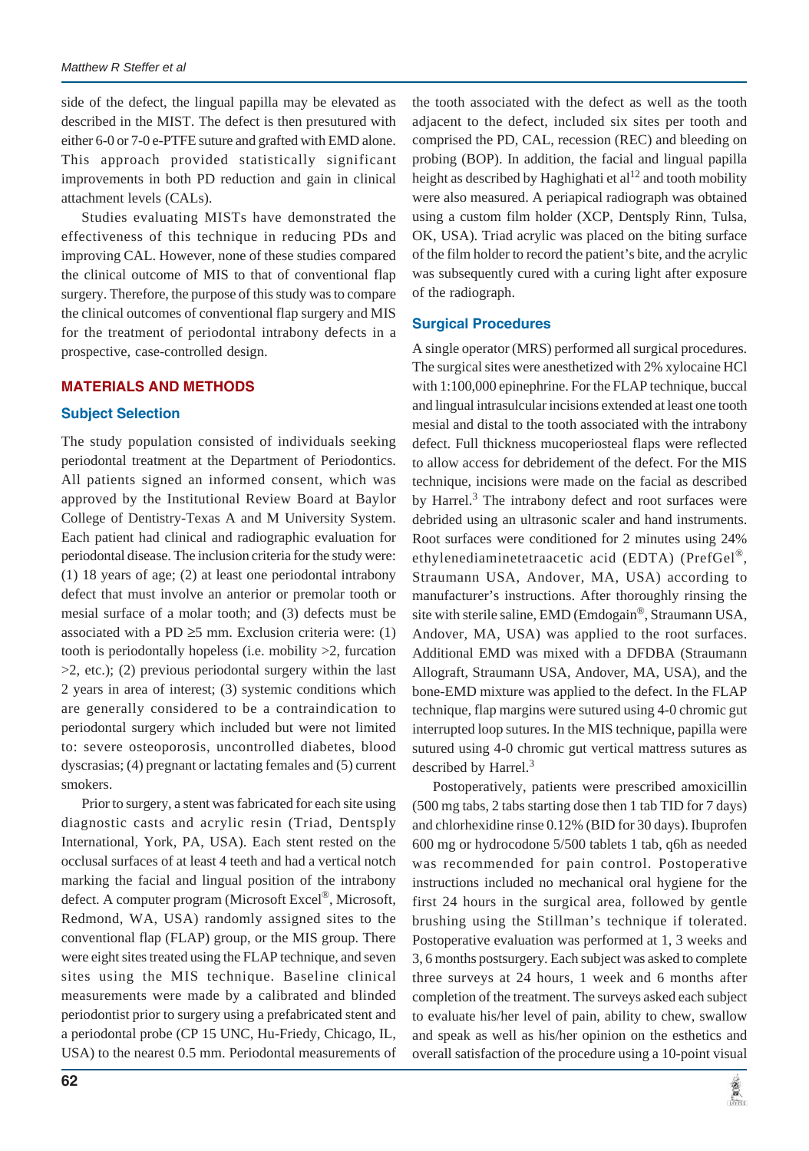side of the defect, the lingual papilla may be elevated as described in the MIST. The defect is then presutured with either 6-0 or 7-0 e-PTFE suture and grafted with EMD alone. This approach provided statistically significant improvements in both PD reduction and gain in clinical attachment levels (CALs).

Studies evaluating MISTs have demonstrated the effectiveness of this technique in reducing PDs and improving CAL. However, none of these studies compared the clinical outcome of MIS to that of conventional flap surgery. Therefore, the purpose of this study was to compare the clinical outcomes of conventional flap surgery and MIS for the treatment of periodontal intrabony defects in a prospective, case-controlled design.

#### **MATERIALS AND METHODS**

#### **Subject Selection**

The study population consisted of individuals seeking periodontal treatment at the Department of Periodontics. All patients signed an informed consent, which was approved by the Institutional Review Board at Baylor College of Dentistry-Texas A and M University System. Each patient had clinical and radiographic evaluation for periodontal disease. The inclusion criteria for the study were: (1) 18 years of age; (2) at least one periodontal intrabony defect that must involve an anterior or premolar tooth or mesial surface of a molar tooth; and (3) defects must be associated with a PD  $\geq$ 5 mm. Exclusion criteria were: (1) tooth is periodontally hopeless (i.e. mobility >2, furcation  $>2$ , etc.); (2) previous periodontal surgery within the last 2 years in area of interest; (3) systemic conditions which are generally considered to be a contraindication to periodontal surgery which included but were not limited to: severe osteoporosis, uncontrolled diabetes, blood dyscrasias; (4) pregnant or lactating females and (5) current smokers.

Prior to surgery, a stent was fabricated for each site using diagnostic casts and acrylic resin (Triad, Dentsply International, York, PA, USA). Each stent rested on the occlusal surfaces of at least 4 teeth and had a vertical notch marking the facial and lingual position of the intrabony defect. A computer program (Microsoft Excel®, Microsoft, Redmond, WA, USA) randomly assigned sites to the conventional flap (FLAP) group, or the MIS group. There were eight sites treated using the FLAP technique, and seven sites using the MIS technique. Baseline clinical measurements were made by a calibrated and blinded periodontist prior to surgery using a prefabricated stent and a periodontal probe (CP 15 UNC, Hu-Friedy, Chicago, IL, USA) to the nearest 0.5 mm. Periodontal measurements of

the tooth associated with the defect as well as the tooth adjacent to the defect, included six sites per tooth and comprised the PD, CAL, recession (REC) and bleeding on probing (BOP). In addition, the facial and lingual papilla height as described by Haghighati et  $al^{12}$  and tooth mobility were also measured. A periapical radiograph was obtained using a custom film holder (XCP, Dentsply Rinn, Tulsa, OK, USA). Triad acrylic was placed on the biting surface of the film holder to record the patient's bite, and the acrylic was subsequently cured with a curing light after exposure of the radiograph.

### **Surgical Procedures**

A single operator (MRS) performed all surgical procedures. The surgical sites were anesthetized with 2% xylocaine HCl with 1:100,000 epinephrine. For the FLAP technique, buccal and lingual intrasulcular incisions extended at least one tooth mesial and distal to the tooth associated with the intrabony defect. Full thickness mucoperiosteal flaps were reflected to allow access for debridement of the defect. For the MIS technique, incisions were made on the facial as described by Harrel.<sup>3</sup> The intrabony defect and root surfaces were debrided using an ultrasonic scaler and hand instruments. Root surfaces were conditioned for 2 minutes using 24% ethylenediaminetetraacetic acid (EDTA) (PrefGel®, Straumann USA, Andover, MA, USA) according to manufacturer's instructions. After thoroughly rinsing the site with sterile saline, EMD (Emdogain®, Straumann USA, Andover, MA, USA) was applied to the root surfaces. Additional EMD was mixed with a DFDBA (Straumann Allograft, Straumann USA, Andover, MA, USA), and the bone-EMD mixture was applied to the defect. In the FLAP technique, flap margins were sutured using 4-0 chromic gut interrupted loop sutures. In the MIS technique, papilla were sutured using 4-0 chromic gut vertical mattress sutures as described by Harrel.<sup>3</sup>

Postoperatively, patients were prescribed amoxicillin (500 mg tabs, 2 tabs starting dose then 1 tab TID for 7 days) and chlorhexidine rinse 0.12% (BID for 30 days). Ibuprofen 600 mg or hydrocodone 5/500 tablets 1 tab, q6h as needed was recommended for pain control. Postoperative instructions included no mechanical oral hygiene for the first 24 hours in the surgical area, followed by gentle brushing using the Stillman's technique if tolerated. Postoperative evaluation was performed at 1, 3 weeks and 3, 6 months postsurgery. Each subject was asked to complete three surveys at 24 hours, 1 week and 6 months after completion of the treatment. The surveys asked each subject to evaluate his/her level of pain, ability to chew, swallow and speak as well as his/her opinion on the esthetics and overall satisfaction of the procedure using a 10-point visual

道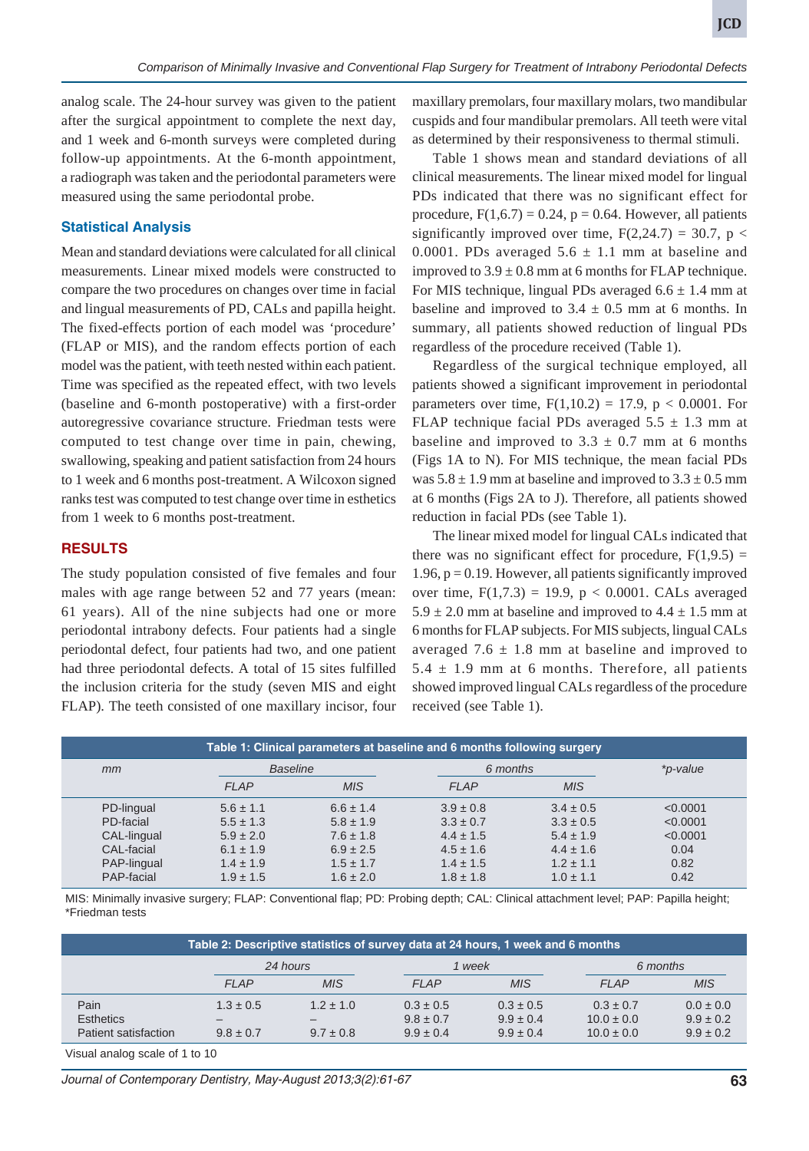analog scale. The 24-hour survey was given to the patient after the surgical appointment to complete the next day, and 1 week and 6-month surveys were completed during follow-up appointments. At the 6-month appointment, a radiograph was taken and the periodontal parameters were measured using the same periodontal probe.

# **Statistical Analysis**

Mean and standard deviations were calculated for all clinical measurements. Linear mixed models were constructed to compare the two procedures on changes over time in facial and lingual measurements of PD, CALs and papilla height. The fixed-effects portion of each model was 'procedure' (FLAP or MIS), and the random effects portion of each model was the patient, with teeth nested within each patient. Time was specified as the repeated effect, with two levels (baseline and 6-month postoperative) with a first-order autoregressive covariance structure. Friedman tests were computed to test change over time in pain, chewing, swallowing, speaking and patient satisfaction from 24 hours to 1 week and 6 months post-treatment. A Wilcoxon signed ranks test was computed to test change over time in esthetics from 1 week to 6 months post-treatment.

#### **RESULTS**

The study population consisted of five females and four males with age range between 52 and 77 years (mean: 61 years). All of the nine subjects had one or more periodontal intrabony defects. Four patients had a single periodontal defect, four patients had two, and one patient had three periodontal defects. A total of 15 sites fulfilled the inclusion criteria for the study (seven MIS and eight FLAP). The teeth consisted of one maxillary incisor, four

maxillary premolars, four maxillary molars, two mandibular cuspids and four mandibular premolars. All teeth were vital as determined by their responsiveness to thermal stimuli.

Table 1 shows mean and standard deviations of all clinical measurements. The linear mixed model for lingual PDs indicated that there was no significant effect for procedure,  $F(1,6.7) = 0.24$ ,  $p = 0.64$ . However, all patients significantly improved over time,  $F(2,24.7) = 30.7$ ,  $p <$ 0.0001. PDs averaged  $5.6 \pm 1.1$  mm at baseline and improved to  $3.9 \pm 0.8$  mm at 6 months for FLAP technique. For MIS technique, lingual PDs averaged  $6.6 \pm 1.4$  mm at baseline and improved to  $3.4 \pm 0.5$  mm at 6 months. In summary, all patients showed reduction of lingual PDs regardless of the procedure received (Table 1).

Regardless of the surgical technique employed, all patients showed a significant improvement in periodontal parameters over time,  $F(1,10.2) = 17.9$ ,  $p < 0.0001$ . For FLAP technique facial PDs averaged  $5.5 \pm 1.3$  mm at baseline and improved to  $3.3 \pm 0.7$  mm at 6 months (Figs 1A to N). For MIS technique, the mean facial PDs was  $5.8 \pm 1.9$  mm at baseline and improved to  $3.3 \pm 0.5$  mm at 6 months (Figs 2A to J). Therefore, all patients showed reduction in facial PDs (see Table 1).

The linear mixed model for lingual CALs indicated that there was no significant effect for procedure,  $F(1,9.5) =$  $1.96$ ,  $p = 0.19$ . However, all patients significantly improved over time,  $F(1,7.3) = 19.9$ ,  $p < 0.0001$ . CALs averaged  $5.9 \pm 2.0$  mm at baseline and improved to  $4.4 \pm 1.5$  mm at 6 months for FLAP subjects. For MIS subjects, lingual CALs averaged 7.6  $\pm$  1.8 mm at baseline and improved to  $5.4 \pm 1.9$  mm at 6 months. Therefore, all patients showed improved lingual CALs regardless of the procedure received (see Table 1).

| Table 1: Clinical parameters at baseline and 6 months following surgery |                 |               |               |               |          |  |  |  |  |  |
|-------------------------------------------------------------------------|-----------------|---------------|---------------|---------------|----------|--|--|--|--|--|
| mm                                                                      | <b>Baseline</b> |               | 6 months      |               | *p-value |  |  |  |  |  |
|                                                                         | <b>FLAP</b>     | <b>MIS</b>    | <b>FLAP</b>   | <b>MIS</b>    |          |  |  |  |  |  |
| PD-lingual                                                              | $5.6 \pm 1.1$   | $6.6 \pm 1.4$ | $3.9 \pm 0.8$ | $3.4 \pm 0.5$ | < 0.0001 |  |  |  |  |  |
| PD-facial                                                               | $5.5 \pm 1.3$   | $5.8 \pm 1.9$ | $3.3 \pm 0.7$ | $3.3 \pm 0.5$ | < 0.0001 |  |  |  |  |  |
| CAL-lingual                                                             | $5.9 \pm 2.0$   | $7.6 \pm 1.8$ | $4.4 \pm 1.5$ | $5.4 \pm 1.9$ | < 0.0001 |  |  |  |  |  |
| CAL-facial                                                              | $6.1 \pm 1.9$   | $6.9 \pm 2.5$ | $4.5 \pm 1.6$ | $4.4 \pm 1.6$ | 0.04     |  |  |  |  |  |
| PAP-lingual                                                             | $1.4 \pm 1.9$   | $1.5 \pm 1.7$ | $1.4 \pm 1.5$ | $1.2 \pm 1.1$ | 0.82     |  |  |  |  |  |
| PAP-facial                                                              | $1.9 \pm 1.5$   | $1.6 \pm 2.0$ | $1.8 \pm 1.8$ | $1.0 \pm 1.1$ | 0.42     |  |  |  |  |  |

MIS: Minimally invasive surgery; FLAP: Conventional flap; PD: Probing depth; CAL: Clinical attachment level; PAP: Papilla height; \*Friedman tests

| Table 2: Descriptive statistics of survey data at 24 hours, 1 week and 6 months |               |               |               |               |                |               |  |  |  |  |
|---------------------------------------------------------------------------------|---------------|---------------|---------------|---------------|----------------|---------------|--|--|--|--|
|                                                                                 |               | 24 hours      |               | 1 week        |                | 6 months      |  |  |  |  |
|                                                                                 | $F$ $AP$      | <b>MIS</b>    | $F$ $AP$      | <b>MIS</b>    | $F$ $AP$       | <b>MIS</b>    |  |  |  |  |
| Pain                                                                            | $1.3 \pm 0.5$ | $1.2 + 1.0$   | $0.3 \pm 0.5$ | $0.3 \pm 0.5$ | $0.3 \pm 0.7$  | $0.0 \pm 0.0$ |  |  |  |  |
| <b>Esthetics</b>                                                                |               |               | $9.8 \pm 0.7$ | $9.9 \pm 0.4$ | $10.0 \pm 0.0$ | $9.9 \pm 0.2$ |  |  |  |  |
| Patient satisfaction                                                            | $9.8 \pm 0.7$ | $9.7 \pm 0.8$ | $9.9 \pm 0.4$ | $9.9 \pm 0.4$ | $10.0 \pm 0.0$ | $9.9 \pm 0.2$ |  |  |  |  |

Visual analog scale of 1 to 10

*Journal of Contemporary Dentistry, May-August 2013;3(2):61-67* **63**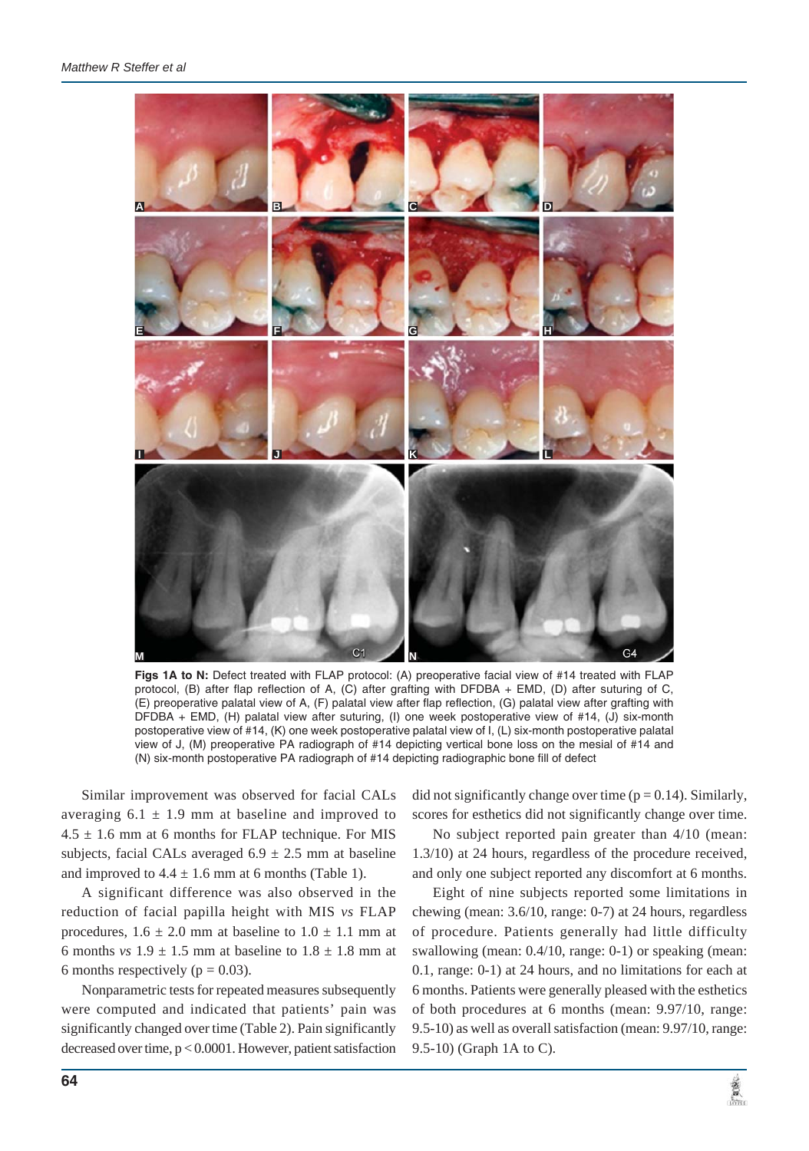

**Figs 1A to N:** Defect treated with FLAP protocol: (A) preoperative facial view of #14 treated with FLAP protocol, (B) after flap reflection of A, (C) after grafting with DFDBA + EMD, (D) after suturing of C, (E) preoperative palatal view of A, (F) palatal view after flap reflection, (G) palatal view after grafting with DFDBA + EMD, (H) palatal view after suturing, (I) one week postoperative view of #14, (J) six-month postoperative view of #14, (K) one week postoperative palatal view of I, (L) six-month postoperative palatal view of J, (M) preoperative PA radiograph of #14 depicting vertical bone loss on the mesial of #14 and (N) six-month postoperative PA radiograph of #14 depicting radiographic bone fill of defect

Similar improvement was observed for facial CALs averaging  $6.1 \pm 1.9$  mm at baseline and improved to  $4.5 \pm 1.6$  mm at 6 months for FLAP technique. For MIS subjects, facial CALs averaged  $6.9 \pm 2.5$  mm at baseline and improved to  $4.4 \pm 1.6$  mm at 6 months (Table 1).

A significant difference was also observed in the reduction of facial papilla height with MIS *vs* FLAP procedures,  $1.6 \pm 2.0$  mm at baseline to  $1.0 \pm 1.1$  mm at 6 months *vs*  $1.9 \pm 1.5$  mm at baseline to  $1.8 \pm 1.8$  mm at 6 months respectively ( $p = 0.03$ ).

Nonparametric tests for repeated measures subsequently were computed and indicated that patients' pain was significantly changed over time (Table 2). Pain significantly decreased over time, p < 0.0001. However, patient satisfaction

did not significantly change over time  $(p = 0.14)$ . Similarly, scores for esthetics did not significantly change over time.

No subject reported pain greater than 4/10 (mean: 1.3/10) at 24 hours, regardless of the procedure received, and only one subject reported any discomfort at 6 months.

Eight of nine subjects reported some limitations in chewing (mean: 3.6/10, range: 0-7) at 24 hours, regardless of procedure. Patients generally had little difficulty swallowing (mean: 0.4/10, range: 0-1) or speaking (mean: 0.1, range: 0-1) at 24 hours, and no limitations for each at 6 months. Patients were generally pleased with the esthetics of both procedures at 6 months (mean: 9.97/10, range: 9.5-10) as well as overall satisfaction (mean: 9.97/10, range: 9.5-10) (Graph 1A to C).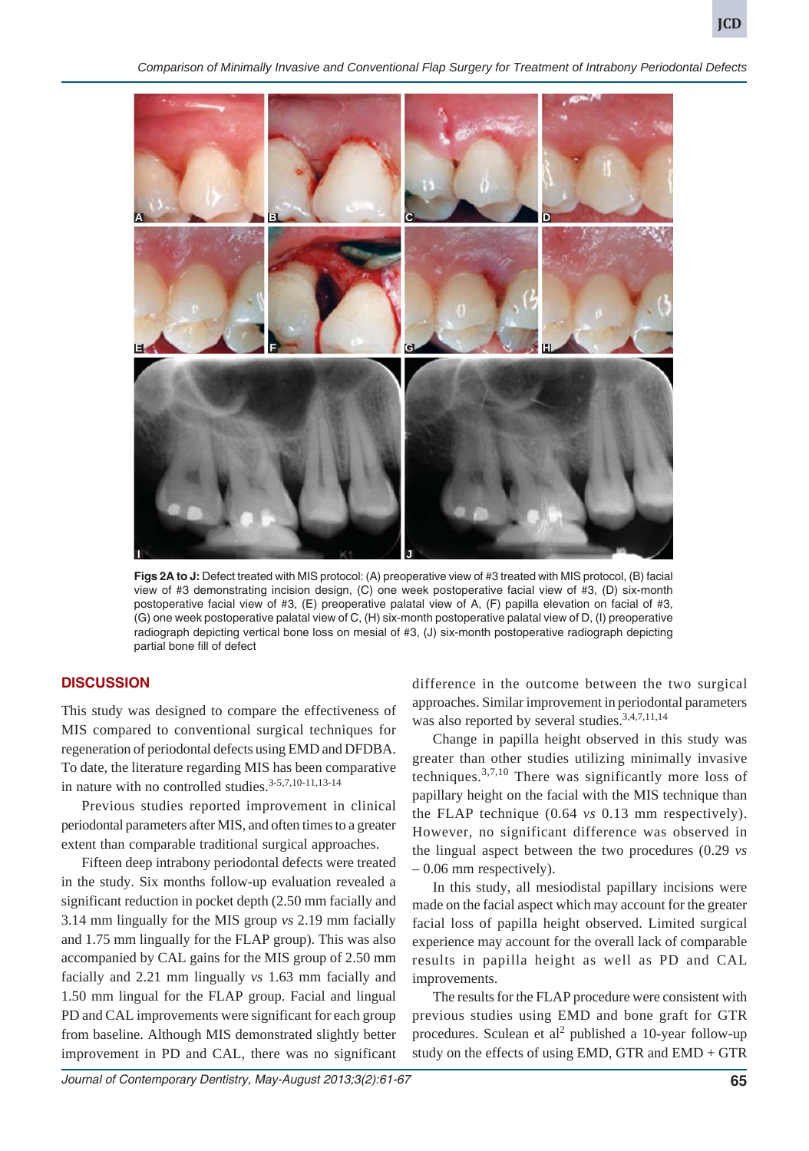*Comparison of Minimally Invasive and Conventional Flap Surgery for Treatment of Intrabony Periodontal Defects*



**Figs 2A to J:** Defect treated with MIS protocol: (A) preoperative view of #3 treated with MIS protocol, (B) facial view of #3 demonstrating incision design, (C) one week postoperative facial view of #3, (D) six-month postoperative facial view of #3, (E) preoperative palatal view of A, (F) papilla elevation on facial of #3, (G) one week postoperative palatal view of C, (H) six-month postoperative palatal view of D, (I) preoperative radiograph depicting vertical bone loss on mesial of #3, (J) six-month postoperative radiograph depicting partial bone fill of defect

### **DISCUSSION**

This study was designed to compare the effectiveness of MIS compared to conventional surgical techniques for regeneration of periodontal defects using EMD and DFDBA. To date, the literature regarding MIS has been comparative in nature with no controlled studies.<sup>3-5,7,10-11,13-14</sup>

Previous studies reported improvement in clinical periodontal parameters after MIS, and often times to a greater extent than comparable traditional surgical approaches.

Fifteen deep intrabony periodontal defects were treated in the study. Six months follow-up evaluation revealed a significant reduction in pocket depth (2.50 mm facially and 3.14 mm lingually for the MIS group *vs* 2.19 mm facially and 1.75 mm lingually for the FLAP group). This was also accompanied by CAL gains for the MIS group of 2.50 mm facially and 2.21 mm lingually *vs* 1.63 mm facially and 1.50 mm lingual for the FLAP group. Facial and lingual PD and CAL improvements were significant for each group from baseline. Although MIS demonstrated slightly better improvement in PD and CAL, there was no significant

difference in the outcome between the two surgical approaches. Similar improvement in periodontal parameters was also reported by several studies.<sup>3,4,7,11,14</sup>

Change in papilla height observed in this study was greater than other studies utilizing minimally invasive techniques.<sup>3,7,10</sup> There was significantly more loss of papillary height on the facial with the MIS technique than the FLAP technique (0.64 *vs* 0.13 mm respectively). However, no significant difference was observed in the lingual aspect between the two procedures (0.29 *vs* – 0.06 mm respectively).

In this study, all mesiodistal papillary incisions were made on the facial aspect which may account for the greater facial loss of papilla height observed. Limited surgical experience may account for the overall lack of comparable results in papilla height as well as PD and CAL improvements.

The results for the FLAP procedure were consistent with previous studies using EMD and bone graft for GTR procedures. Sculean et  $al^2$  published a 10-year follow-up study on the effects of using EMD, GTR and EMD + GTR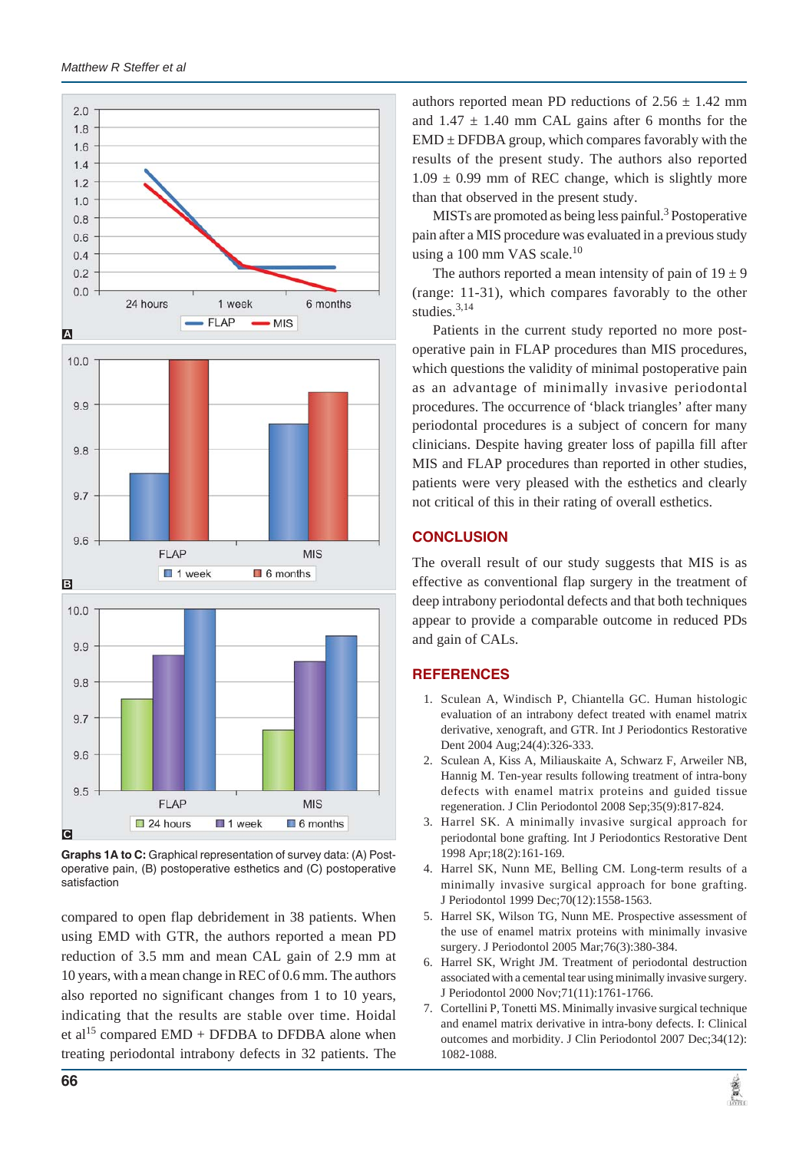

**Graphs 1A to C:** Graphical representation of survey data: (A) Postoperative pain, (B) postoperative esthetics and (C) postoperative satisfaction

compared to open flap debridement in 38 patients. When using EMD with GTR, the authors reported a mean PD reduction of 3.5 mm and mean CAL gain of 2.9 mm at 10 years, with a mean change in REC of 0.6 mm. The authors also reported no significant changes from 1 to 10 years, indicating that the results are stable over time. Hoidal et al<sup>15</sup> compared EMD + DFDBA to DFDBA alone when treating periodontal intrabony defects in 32 patients. The

authors reported mean PD reductions of  $2.56 \pm 1.42$  mm and  $1.47 \pm 1.40$  mm CAL gains after 6 months for the  $EMD \pm DFDBA$  group, which compares favorably with the results of the present study. The authors also reported  $1.09 \pm 0.99$  mm of REC change, which is slightly more than that observed in the present study.

MISTs are promoted as being less painful.<sup>3</sup> Postoperative pain after a MIS procedure was evaluated in a previous study using a 100 mm VAS scale.<sup>10</sup>

The authors reported a mean intensity of pain of  $19 \pm 9$ (range: 11-31), which compares favorably to the other studies.<sup>3,14</sup>

Patients in the current study reported no more postoperative pain in FLAP procedures than MIS procedures, which questions the validity of minimal postoperative pain as an advantage of minimally invasive periodontal procedures. The occurrence of 'black triangles' after many periodontal procedures is a subject of concern for many clinicians. Despite having greater loss of papilla fill after MIS and FLAP procedures than reported in other studies, patients were very pleased with the esthetics and clearly not critical of this in their rating of overall esthetics.

# **CONCLUSION**

The overall result of our study suggests that MIS is as effective as conventional flap surgery in the treatment of deep intrabony periodontal defects and that both techniques appear to provide a comparable outcome in reduced PDs and gain of CALs.

# **REFERENCES**

- 1. Sculean A, Windisch P, Chiantella GC. Human histologic evaluation of an intrabony defect treated with enamel matrix derivative, xenograft, and GTR. Int J Periodontics Restorative Dent 2004 Aug;24(4):326-333.
- 2. Sculean A, Kiss A, Miliauskaite A, Schwarz F, Arweiler NB, Hannig M. Ten-year results following treatment of intra-bony defects with enamel matrix proteins and guided tissue regeneration. J Clin Periodontol 2008 Sep;35(9):817-824.
- 3. Harrel SK. A minimally invasive surgical approach for periodontal bone grafting. Int J Periodontics Restorative Dent 1998 Apr;18(2):161-169.
- 4. Harrel SK, Nunn ME, Belling CM. Long-term results of a minimally invasive surgical approach for bone grafting. J Periodontol 1999 Dec;70(12):1558-1563.
- 5. Harrel SK, Wilson TG, Nunn ME. Prospective assessment of the use of enamel matrix proteins with minimally invasive surgery. J Periodontol 2005 Mar;76(3):380-384.
- 6. Harrel SK, Wright JM. Treatment of periodontal destruction associated with a cemental tear using minimally invasive surgery. J Periodontol 2000 Nov;71(11):1761-1766.
- 7. Cortellini P, Tonetti MS. Minimally invasive surgical technique and enamel matrix derivative in intra-bony defects. I: Clinical outcomes and morbidity. J Clin Periodontol 2007 Dec;34(12): 1082-1088.